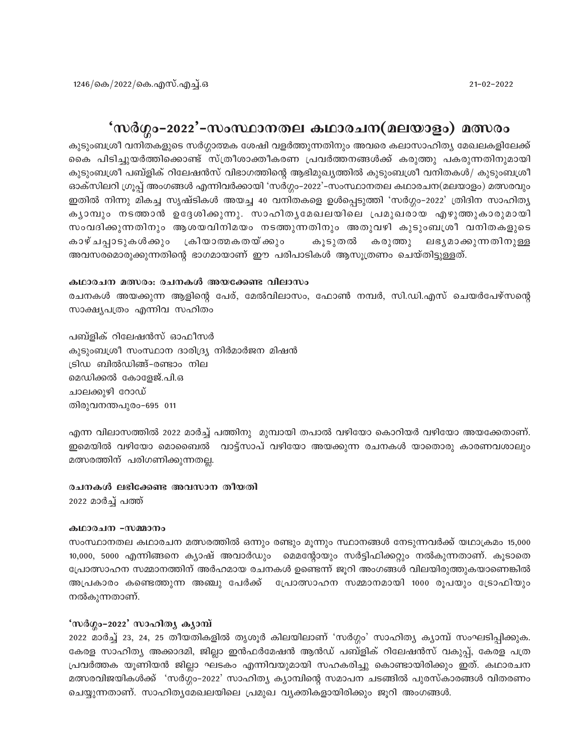# 'സർഗ്ഗം-2022'-സംസ്ഥാനതല കഥാരചന(മലയാളം) മത്സരം

കുടുംബശ്രീ വനിതകളുടെ സർഗ്ഗാത്മക ശേഷി വളർത്തുന്നതിനും അവരെ കലാസാഹിത്യ മേഖലകളിലേക്ക് കൈ പിടിച്ചുയർത്തിക്കൊണ്ട് സ്ത്രീശാക്തീകരണ പ്രവർത്തനങ്ങൾക്ക് കരുത്തു പകരുന്നതിനുമായി കുടുംബശ്രീ പബ്ളിക് റിലേഷൻസ് വിഭാഗത്തിന്റെ ആഭിമുഖ്യത്തിൽ കുടുംബശ്രീ വനിതകൾ/ കുടുംബശ്രീ ഓക്സിലറി ഗ്രൂപ്പ് അംഗങ്ങൾ എന്നിവർക്കായി 'സർഗ്ഗം–2022'–സംസ്ഥാനതല കഥാരചന(മലയാളം) മത്സരവും ഇതിൽ നിന്നു മികച്ച സൃഷ്ടികൾ അയച്ച 40 വനിതകളെ ഉൾപ്പെടുത്തി 'സർഗ്ഗം–2022' ത്രിദിന സാഹിത്യ കൃാമ്പും നടത്താൻ ഉദ്ദേശിക്കുന്നു. സാഹിതൃമേഖലയിലെ പ്രമുഖരായ എഴുത്തുകാരുമായി സംവദിക്കുന്നതിനും ആശയവിനിമയം നടത്തുന്നതിനും അതുവഴി കുടുംബശ്രീ വനിതകളുടെ കാഴ്ചപ്പാടുകൾക്കും ക്രിയാത്മകതയ്ക്കും കൂടുതൽ കരുത്തു ലഭ്യമാക്കുന്നതിനുള്ള അവസരമൊരുക്കുന്നതിന്റെ ഭാഗമായാണ് ഈ പരിപാടികൾ ആസൂത്രണം ചെയ്തിട്ടുള്ളത്.

## കഥാരചന മത്സരം: രചനകൾ അയക്കേണ്ട വിലാസം

രചനകൾ അയക്കുന്ന ആളിന്റെ പേര്, മേൽവിലാസം, ഫോൺ നമ്പർ, സി.ഡി.എസ് ചെയർപേഴ്സന്റെ സാക്ഷ്യപത്രം എന്നിവ സഹിതം

പബ്ളിക് റിലേഷൻസ് ഓഫീസർ കുടുംബശ്രീ സംസ്ഥാന ദാരിദ്ര്യ നിർമാർജന മിഷൻ ട്രിഡ ബിൽഡിങ്ങ്-രണ്ടാം നില മെഡിക്കൽ കോളേജ്.പി.ഒ ചാലക്കുഴി റോഡ് തിരുവനന്തപുരം-695 011

എന്ന വിലാസത്തിൽ 2022 മാർച്ച് പത്തിനു മുമ്പായി തപാൽ വഴിയോ കൊറിയർ വഴിയോ അയക്കേതാണ്. ഇമെയിൽ വഴിയോ മൊബൈൽ വാട്ട്സാപ് വഴിയോ അയക്കുന്ന രചനകൾ യാതൊരു കാരണവശാലും മത്സരത്തിന് പരിഗണിക്കുന്നതല്ല.

രചനകൾ ലഭിക്കേണ്ട അവസാന തീയതി 2022 മാർച്ച് പത്ത്

#### കഥാരചന -സമ്മാനം

സംസ്ഥാനതല കഥാരചന മത്സരത്തിൽ ഒന്നും രണ്ടും മൂന്നും സ്ഥാനങ്ങൾ നേടുന്നവർക്ക് യഥാക്രമം 15,000 10,000, 5000 എന്നിങ്ങനെ ക്യാഷ് അവാർഡും മെമന്റോയും സർട്ടിഫിക്കറ്റും നൽകുന്നതാണ്. കുടാതെ പ്രോത്സാഹന സമ്മാനത്തിന് അർഹമായ രചനകൾ ഉണ്ടെന്ന് ജൂറി അംഗങ്ങൾ വിലയിരുത്തുകയാണെങ്കിൽ അപ്രകാരം കണ്ടെത്തുന്ന അഞ്ചു പേർക്ക് പ്രോത്സാഹന സമ്മാനമായി 1000 രൂപയും ട്രോഫിയും നൽകുന്നതാണ്.

### 'സർഗ്ഗം-2022' സാഹിത്യ ക്യാമ്പ്

2022 മാർച്ച് 23, 24, 25 തീയതികളിൽ തൃശൂർ കിലയിലാണ് 'സർഗ്ഗം' സാഹിത്യ ക്യാമ്പ് സംഘടിപ്പിക്കുക. കേരള സാഹിത്യ അക്കാദമി, ജില്ലാ ഇൻഫർമേഷൻ ആൻഡ് പബ്ളിക് റിലേഷൻസ് വകുപ്പ്, കേരള പത്ര പ്രവർത്തക യൂണിയൻ ജില്ലാ ഘടകം എന്നിവയുമായി സഹകരിച്ചു കൊണ്ടായിരിക്കും ഇത്. കഥാരചന മത്സരവിജയികൾക്ക് 'സർഗ്ഗം–2022' സാഹിത്യ ക്യാമ്പിന്റെ സമാപന ചടങ്ങിൽ പുരസ്കാരങ്ങൾ വിതരണം ചെയ്യുന്നതാണ്. സാഹിത്യമേഖലയിലെ പ്രമുഖ വ്യക്തികളായിരിക്കും ജൂറി അംഗങ്ങൾ.